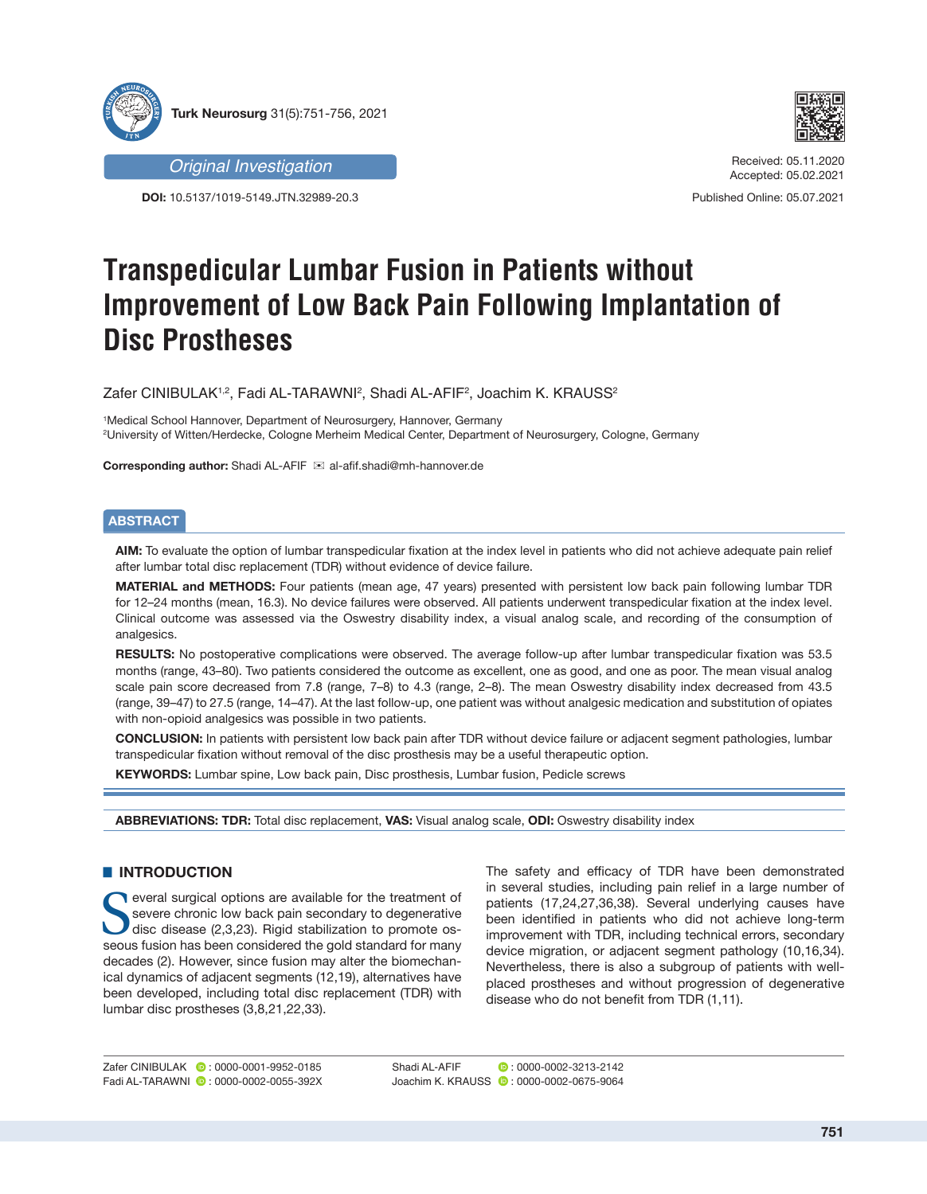



*Original Investigation*

**DOI:** 10.5137/1019-5149.JTN.32989-20.3

Received: 05.11.2020 Accepted: 05.02.2021

Published Online: 05.07.2021

# **Transpedicular Lumbar Fusion in Patients without Improvement of Low Back Pain Following Implantation of Disc Prostheses**

Zafer CINIBULAK1,2, Fadi AL-TARAWNI?, Shadi AL-AFIF?, Joachim K. KRAUSS?

1 Medical School Hannover, Department of Neurosurgery, Hannover, Germany 2 University of Witten/Herdecke, Cologne Merheim Medical Center, Department of Neurosurgery, Cologne, Germany

**Corresponding author:** Shadi AL-AFIF  $\mathbb{E}$  al-afif.shadi@mh-hannover.de

# **ABSTRACT**

**AIM:** To evaluate the option of lumbar transpedicular fixation at the index level in patients who did not achieve adequate pain relief after lumbar total disc replacement (TDR) without evidence of device failure.

**MATERIAL and METHODS:** Four patients (mean age, 47 years) presented with persistent low back pain following lumbar TDR for 12–24 months (mean, 16.3). No device failures were observed. All patients underwent transpedicular fixation at the index level. Clinical outcome was assessed via the Oswestry disability index, a visual analog scale, and recording of the consumption of analgesics.

**RESULTS:** No postoperative complications were observed. The average follow-up after lumbar transpedicular fixation was 53.5 months (range, 43–80). Two patients considered the outcome as excellent, one as good, and one as poor. The mean visual analog scale pain score decreased from 7.8 (range, 7–8) to 4.3 (range, 2–8). The mean Oswestry disability index decreased from 43.5 (range, 39–47) to 27.5 (range, 14–47). At the last follow-up, one patient was without analgesic medication and substitution of opiates with non-opioid analgesics was possible in two patients.

**CONCLUSION:** In patients with persistent low back pain after TDR without device failure or adjacent segment pathologies, lumbar transpedicular fixation without removal of the disc prosthesis may be a useful therapeutic option.

**KEYWORDS:** Lumbar spine, Low back pain, Disc prosthesis, Lumbar fusion, Pedicle screws

**ABBREVIATIONS: TDR:** Total disc replacement, **VAS:** Visual analog scale, **ODI:** Oswestry disability index

## $\blacksquare$  **INTRODUCTION**

Several surgical options are available for the treatment of severe chronic low back pain secondary to degenerative disc disease (2,3,23). Rigid stabilization to promote ossevere chronic low back pain secondary to degenerative seous fusion has been considered the gold standard for many decades (2). However, since fusion may alter the biomechanical dynamics of adjacent segments (12,19), alternatives have been developed, including total disc replacement (TDR) with lumbar disc prostheses (3,8,21,22,33).

The safety and efficacy of TDR have been demonstrated in several studies, including pain relief in a large number of patients (17,24,27,36,38). Several underlying causes have been identified in patients who did not achieve long-term improvement with TDR, including technical errors, secondary device migration, or adjacent segment pathology (10,16,34). Nevertheless, there is also a subgroup of patients with wellplaced prostheses and without progression of degenerative disease who do not benefit from TDR (1,11).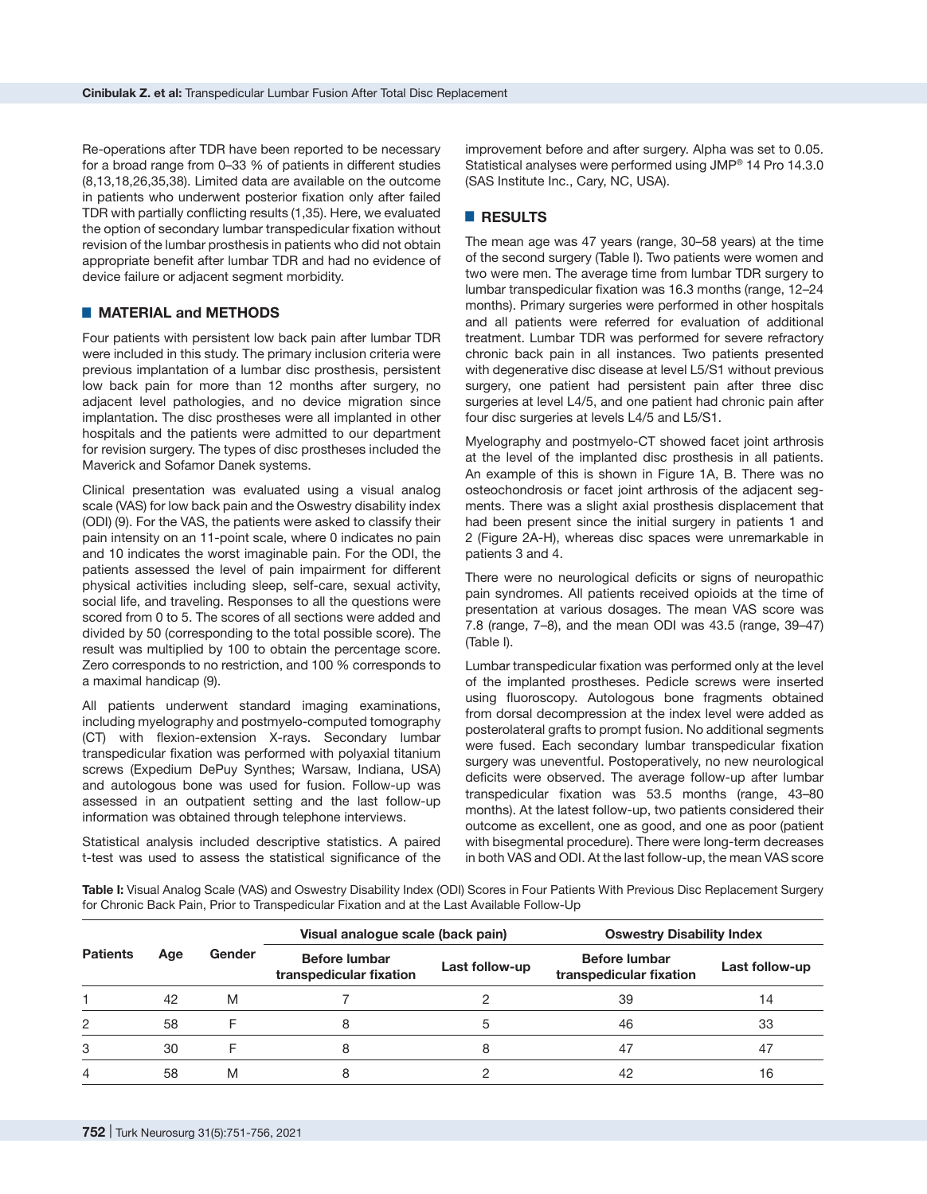Re-operations after TDR have been reported to be necessary for a broad range from 0–33 % of patients in different studies (8,13,18,26,35,38). Limited data are available on the outcome in patients who underwent posterior fixation only after failed TDR with partially conflicting results (1,35). Here, we evaluated the option of secondary lumbar transpedicular fixation without revision of the lumbar prosthesis in patients who did not obtain appropriate benefit after lumbar TDR and had no evidence of device failure or adjacent segment morbidity.

## █ **MATERIAL and METHODS**

Four patients with persistent low back pain after lumbar TDR were included in this study. The primary inclusion criteria were previous implantation of a lumbar disc prosthesis, persistent low back pain for more than 12 months after surgery, no adjacent level pathologies, and no device migration since implantation. The disc prostheses were all implanted in other hospitals and the patients were admitted to our department for revision surgery. The types of disc prostheses included the Maverick and Sofamor Danek systems.

Clinical presentation was evaluated using a visual analog scale (VAS) for low back pain and the Oswestry disability index (ODI) (9). For the VAS, the patients were asked to classify their pain intensity on an 11-point scale, where 0 indicates no pain and 10 indicates the worst imaginable pain. For the ODI, the patients assessed the level of pain impairment for different physical activities including sleep, self-care, sexual activity, social life, and traveling. Responses to all the questions were scored from 0 to 5. The scores of all sections were added and divided by 50 (corresponding to the total possible score). The result was multiplied by 100 to obtain the percentage score. Zero corresponds to no restriction, and 100 % corresponds to a maximal handicap (9).

All patients underwent standard imaging examinations, including myelography and postmyelo-computed tomography (CT) with flexion-extension X-rays. Secondary lumbar transpedicular fixation was performed with polyaxial titanium screws (Expedium DePuy Synthes; Warsaw, Indiana, USA) and autologous bone was used for fusion. Follow-up was assessed in an outpatient setting and the last follow-up information was obtained through telephone interviews.

Statistical analysis included descriptive statistics. A paired t-test was used to assess the statistical significance of the improvement before and after surgery. Alpha was set to 0.05. Statistical analyses were performed using JMP® 14 Pro 14.3.0 (SAS Institute Inc., Cary, NC, USA).

### █ **RESULTS**

The mean age was 47 years (range, 30–58 years) at the time of the second surgery (Table I). Two patients were women and two were men. The average time from lumbar TDR surgery to lumbar transpedicular fixation was 16.3 months (range, 12–24 months). Primary surgeries were performed in other hospitals and all patients were referred for evaluation of additional treatment. Lumbar TDR was performed for severe refractory chronic back pain in all instances. Two patients presented with degenerative disc disease at level L5/S1 without previous surgery, one patient had persistent pain after three disc surgeries at level L4/5, and one patient had chronic pain after four disc surgeries at levels L4/5 and L5/S1.

Myelography and postmyelo-CT showed facet joint arthrosis at the level of the implanted disc prosthesis in all patients. An example of this is shown in Figure 1A, B. There was no osteochondrosis or facet joint arthrosis of the adjacent segments. There was a slight axial prosthesis displacement that had been present since the initial surgery in patients 1 and 2 (Figure 2A-H), whereas disc spaces were unremarkable in patients 3 and 4.

There were no neurological deficits or signs of neuropathic pain syndromes. All patients received opioids at the time of presentation at various dosages. The mean VAS score was 7.8 (range, 7–8), and the mean ODI was 43.5 (range, 39–47) (Table I).

Lumbar transpedicular fixation was performed only at the level of the implanted prostheses. Pedicle screws were inserted using fluoroscopy. Autologous bone fragments obtained from dorsal decompression at the index level were added as posterolateral grafts to prompt fusion. No additional segments were fused. Each secondary lumbar transpedicular fixation surgery was uneventful. Postoperatively, no new neurological deficits were observed. The average follow-up after lumbar transpedicular fixation was 53.5 months (range, 43–80 months). At the latest follow-up, two patients considered their outcome as excellent, one as good, and one as poor (patient with bisegmental procedure). There were long-term decreases in both VAS and ODI. At the last follow-up, the mean VAS score

**Table I:** Visual Analog Scale (VAS) and Oswestry Disability Index (ODI) Scores in Four Patients With Previous Disc Replacement Surgery for Chronic Back Pain, Prior to Transpedicular Fixation and at the Last Available Follow-Up

| <b>Patients</b> | Age | Gender | Visual analogue scale (back pain)               |                | <b>Oswestry Disability Index</b>                |                |
|-----------------|-----|--------|-------------------------------------------------|----------------|-------------------------------------------------|----------------|
|                 |     |        | <b>Before lumbar</b><br>transpedicular fixation | Last follow-up | <b>Before lumbar</b><br>transpedicular fixation | Last follow-up |
|                 | 42  | M      |                                                 |                | 39                                              | 14             |
| 2               | 58  |        | 8                                               | 5              | 46                                              | 33             |
| 3               | 30  |        | 8                                               | 8              | 47                                              | 47             |
| 4               | 58  | M      |                                                 |                | 42                                              | 16             |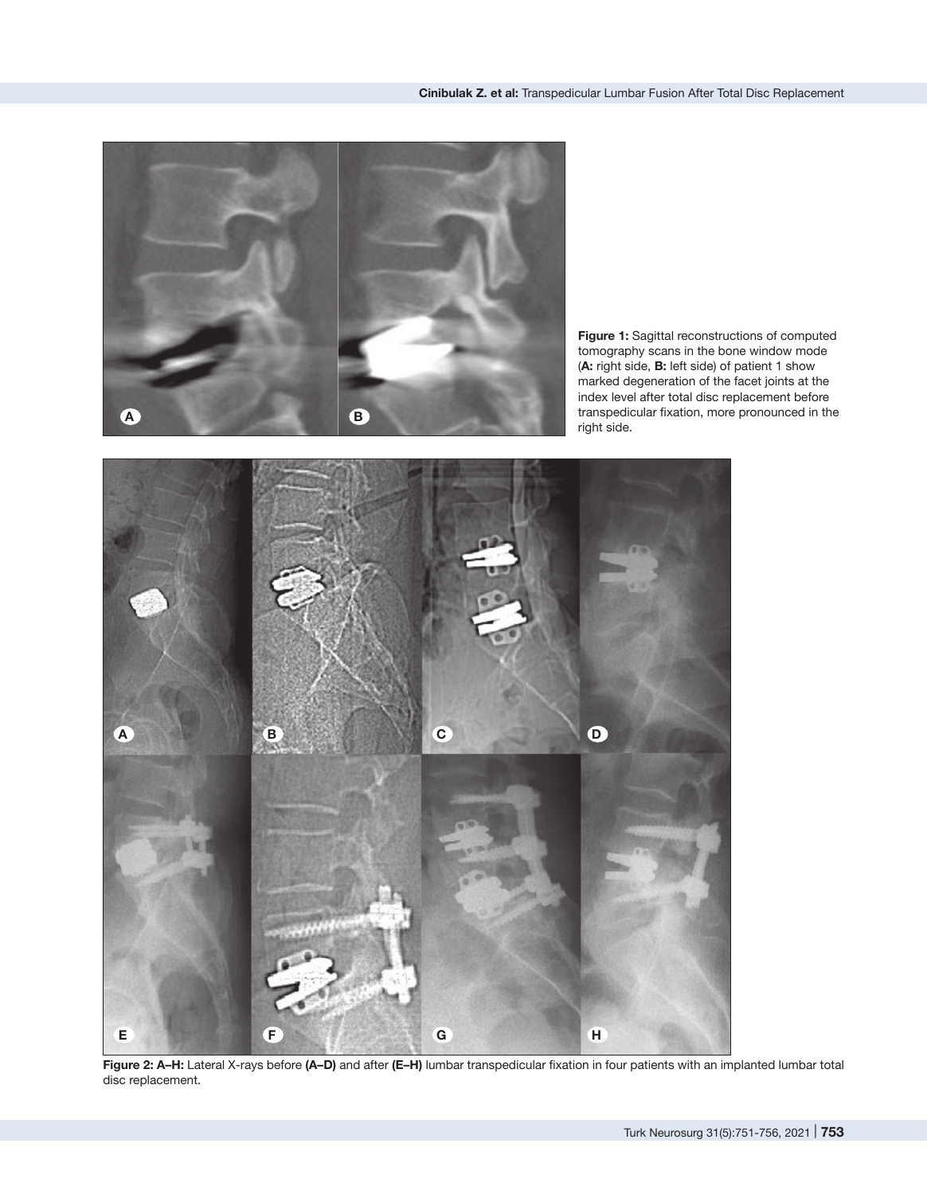

**Figure 1:** Sagittal reconstructions of computed tomography scans in the bone window mode (**A:** right side, **B:** left side) of patient 1 show marked degeneration of the facet joints at the index level after total disc replacement before transpedicular fixation, more pronounced in the right side.



**Figure 2: A–H:** Lateral X-rays before **(A–D)** and after **(E–H)** lumbar transpedicular fixation in four patients with an implanted lumbar total disc replacement.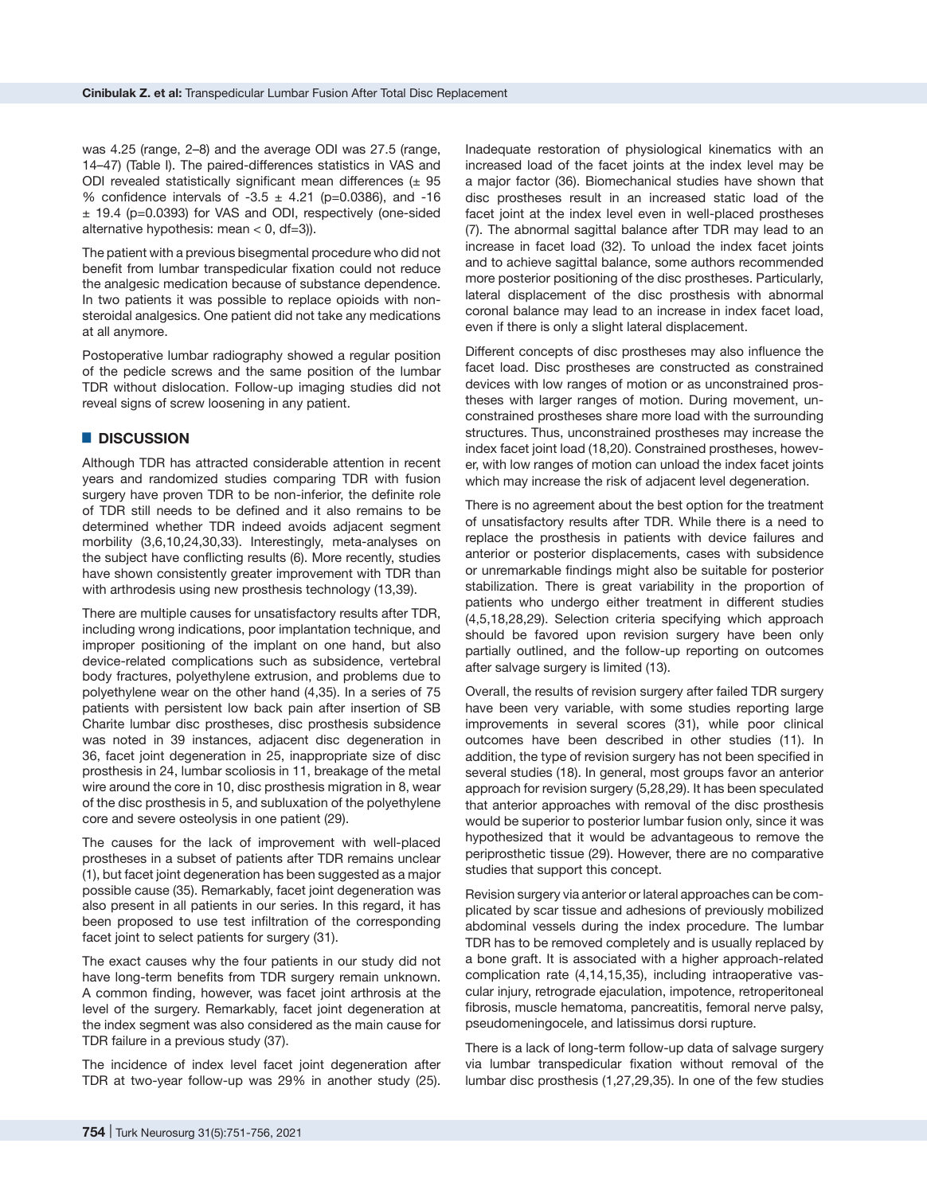was 4.25 (range, 2–8) and the average ODI was 27.5 (range, 14–47) (Table I). The paired-differences statistics in VAS and ODI revealed statistically significant mean differences  $(± 95$ % confidence intervals of  $-3.5 \pm 4.21$  (p=0.0386), and  $-16$  $\pm$  19.4 (p=0.0393) for VAS and ODI, respectively (one-sided alternative hypothesis: mean  $< 0$ , df=3)).

The patient with a previous bisegmental procedure who did not benefit from lumbar transpedicular fixation could not reduce the analgesic medication because of substance dependence. In two patients it was possible to replace opioids with nonsteroidal analgesics. One patient did not take any medications at all anymore.

Postoperative lumbar radiography showed a regular position of the pedicle screws and the same position of the lumbar TDR without dislocation. Follow-up imaging studies did not reveal signs of screw loosening in any patient.

#### █ **DISCUSSION**

Although TDR has attracted considerable attention in recent years and randomized studies comparing TDR with fusion surgery have proven TDR to be non-inferior, the definite role of TDR still needs to be defined and it also remains to be determined whether TDR indeed avoids adjacent segment morbility (3,6,10,24,30,33). Interestingly, meta-analyses on the subject have conflicting results (6). More recently, studies have shown consistently greater improvement with TDR than with arthrodesis using new prosthesis technology (13,39).

There are multiple causes for unsatisfactory results after TDR, including wrong indications, poor implantation technique, and improper positioning of the implant on one hand, but also device-related complications such as subsidence, vertebral body fractures, polyethylene extrusion, and problems due to polyethylene wear on the other hand (4,35). In a series of 75 patients with persistent low back pain after insertion of SB Charite lumbar disc prostheses, disc prosthesis subsidence was noted in 39 instances, adjacent disc degeneration in 36, facet joint degeneration in 25, inappropriate size of disc prosthesis in 24, lumbar scoliosis in 11, breakage of the metal wire around the core in 10, disc prosthesis migration in 8, wear of the disc prosthesis in 5, and subluxation of the polyethylene core and severe osteolysis in one patient (29).

The causes for the lack of improvement with well-placed prostheses in a subset of patients after TDR remains unclear (1), but facet joint degeneration has been suggested as a major possible cause (35). Remarkably, facet joint degeneration was also present in all patients in our series. In this regard, it has been proposed to use test infiltration of the corresponding facet joint to select patients for surgery (31).

The exact causes why the four patients in our study did not have long-term benefits from TDR surgery remain unknown. A common finding, however, was facet joint arthrosis at the level of the surgery. Remarkably, facet joint degeneration at the index segment was also considered as the main cause for TDR failure in a previous study (37).

The incidence of index level facet joint degeneration after TDR at two-year follow-up was 29% in another study (25). Inadequate restoration of physiological kinematics with an increased load of the facet joints at the index level may be a major factor (36). Biomechanical studies have shown that disc prostheses result in an increased static load of the facet joint at the index level even in well-placed prostheses (7). The abnormal sagittal balance after TDR may lead to an increase in facet load (32). To unload the index facet joints and to achieve sagittal balance, some authors recommended more posterior positioning of the disc prostheses. Particularly, lateral displacement of the disc prosthesis with abnormal coronal balance may lead to an increase in index facet load, even if there is only a slight lateral displacement.

Different concepts of disc prostheses may also influence the facet load. Disc prostheses are constructed as constrained devices with low ranges of motion or as unconstrained prostheses with larger ranges of motion. During movement, unconstrained prostheses share more load with the surrounding structures. Thus, unconstrained prostheses may increase the index facet joint load (18,20). Constrained prostheses, however, with low ranges of motion can unload the index facet joints which may increase the risk of adjacent level degeneration.

There is no agreement about the best option for the treatment of unsatisfactory results after TDR. While there is a need to replace the prosthesis in patients with device failures and anterior or posterior displacements, cases with subsidence or unremarkable findings might also be suitable for posterior stabilization. There is great variability in the proportion of patients who undergo either treatment in different studies (4,5,18,28,29). Selection criteria specifying which approach should be favored upon revision surgery have been only partially outlined, and the follow-up reporting on outcomes after salvage surgery is limited (13).

Overall, the results of revision surgery after failed TDR surgery have been very variable, with some studies reporting large improvements in several scores (31), while poor clinical outcomes have been described in other studies (11). In addition, the type of revision surgery has not been specified in several studies (18). In general, most groups favor an anterior approach for revision surgery (5,28,29). It has been speculated that anterior approaches with removal of the disc prosthesis would be superior to posterior lumbar fusion only, since it was hypothesized that it would be advantageous to remove the periprosthetic tissue (29). However, there are no comparative studies that support this concept.

Revision surgery via anterior or lateral approaches can be complicated by scar tissue and adhesions of previously mobilized abdominal vessels during the index procedure. The lumbar TDR has to be removed completely and is usually replaced by a bone graft. It is associated with a higher approach-related complication rate (4,14,15,35), including intraoperative vascular injury, retrograde ejaculation, impotence, retroperitoneal fibrosis, muscle hematoma, pancreatitis, femoral nerve palsy, pseudomeningocele, and latissimus dorsi rupture.

There is a lack of long-term follow-up data of salvage surgery via lumbar transpedicular fixation without removal of the lumbar disc prosthesis (1,27,29,35). In one of the few studies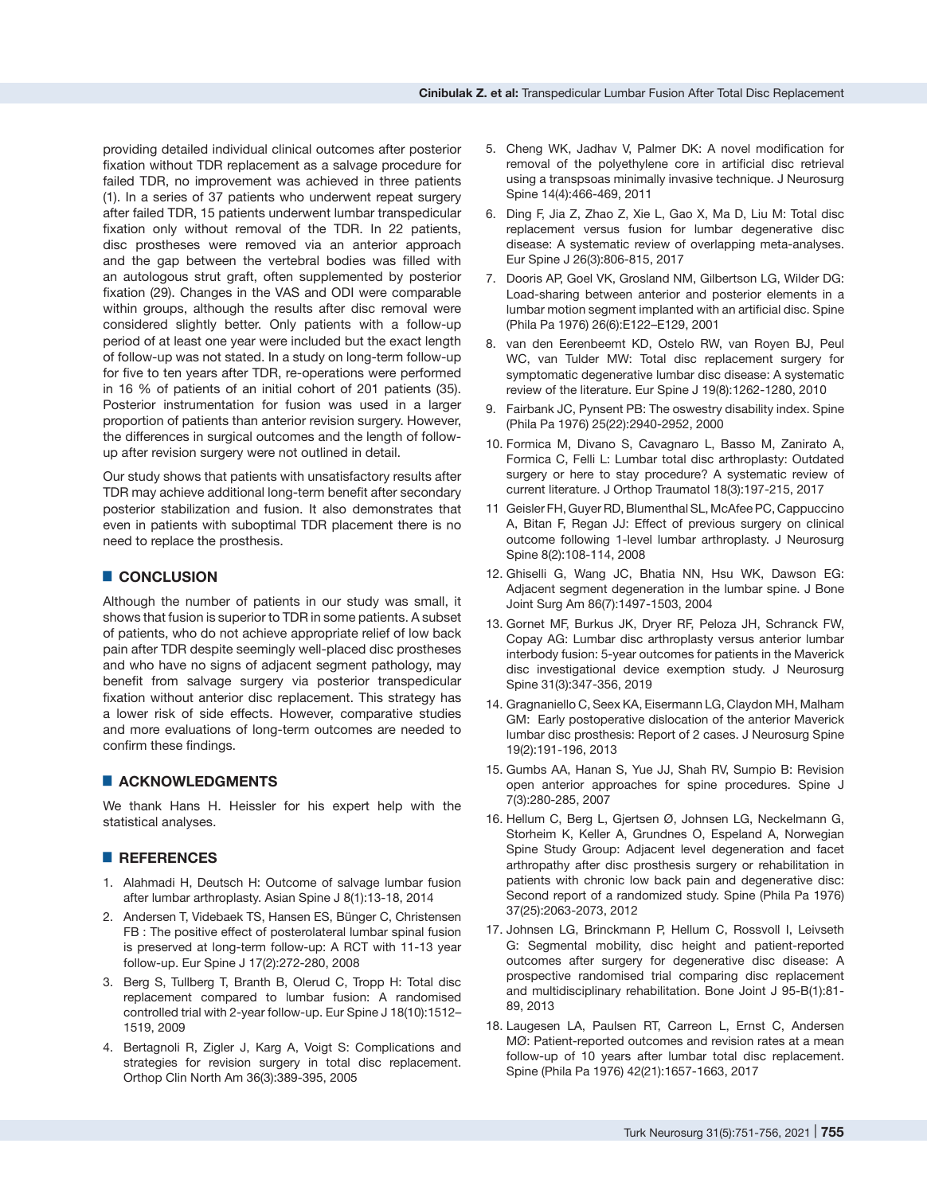providing detailed individual clinical outcomes after posterior fixation without TDR replacement as a salvage procedure for failed TDR, no improvement was achieved in three patients (1). In a series of 37 patients who underwent repeat surgery after failed TDR, 15 patients underwent lumbar transpedicular fixation only without removal of the TDR. In 22 patients, disc prostheses were removed via an anterior approach and the gap between the vertebral bodies was filled with an autologous strut graft, often supplemented by posterior fixation (29). Changes in the VAS and ODI were comparable within groups, although the results after disc removal were considered slightly better. Only patients with a follow-up period of at least one year were included but the exact length of follow-up was not stated. In a study on long-term follow-up for five to ten years after TDR, re-operations were performed in 16 % of patients of an initial cohort of 201 patients (35). Posterior instrumentation for fusion was used in a larger proportion of patients than anterior revision surgery. However, the differences in surgical outcomes and the length of followup after revision surgery were not outlined in detail.

Our study shows that patients with unsatisfactory results after TDR may achieve additional long-term benefit after secondary posterior stabilization and fusion. It also demonstrates that even in patients with suboptimal TDR placement there is no need to replace the prosthesis.

#### █ **CONCLUSION**

Although the number of patients in our study was small, it shows that fusion is superior to TDR in some patients. A subset of patients, who do not achieve appropriate relief of low back pain after TDR despite seemingly well-placed disc prostheses and who have no signs of adjacent segment pathology, may benefit from salvage surgery via posterior transpedicular fixation without anterior disc replacement. This strategy has a lower risk of side effects. However, comparative studies and more evaluations of long-term outcomes are needed to confirm these findings.

### █ **ACKNOWLEDGMENTS**

We thank Hans H. Heissler for his expert help with the statistical analyses.

#### █ **REFERENCES**

- 1. Alahmadi H, Deutsch H: Outcome of salvage lumbar fusion after lumbar arthroplasty. Asian Spine J 8(1):13-18, 2014
- 2. Andersen T, Videbaek TS, Hansen ES, Bünger C, Christensen FB : The positive effect of posterolateral lumbar spinal fusion is preserved at long-term follow-up: A RCT with 11-13 year follow-up. Eur Spine J 17(2):272-280, 2008
- 3. Berg S, Tullberg T, Branth B, Olerud C, Tropp H: Total disc replacement compared to lumbar fusion: A randomised controlled trial with 2-year follow-up. Eur Spine J 18(10):1512– 1519, 2009
- 4. Bertagnoli R, Zigler J, Karg A, Voigt S: Complications and strategies for revision surgery in total disc replacement. Orthop Clin North Am 36(3):389-395, 2005
- 5. Cheng WK, Jadhav V, Palmer DK: A novel modification for removal of the polyethylene core in artificial disc retrieval using a transpsoas minimally invasive technique. J Neurosurg Spine 14(4):466-469, 2011
- 6. Ding F, Jia Z, Zhao Z, Xie L, Gao X, Ma D, Liu M: Total disc replacement versus fusion for lumbar degenerative disc disease: A systematic review of overlapping meta-analyses. Eur Spine J 26(3):806-815, 2017
- 7. Dooris AP, Goel VK, Grosland NM, Gilbertson LG, Wilder DG: Load-sharing between anterior and posterior elements in a lumbar motion segment implanted with an artificial disc. Spine (Phila Pa 1976) 26(6):E122–E129, 2001
- 8. van den Eerenbeemt KD, Ostelo RW, van Royen BJ, Peul WC, van Tulder MW: Total disc replacement surgery for symptomatic degenerative lumbar disc disease: A systematic review of the literature. Eur Spine J 19(8):1262-1280, 2010
- 9. Fairbank JC, Pynsent PB: The oswestry disability index. Spine (Phila Pa 1976) 25(22):2940-2952, 2000
- 10. Formica M, Divano S, Cavagnaro L, Basso M, Zanirato A, Formica C, Felli L: Lumbar total disc arthroplasty: Outdated surgery or here to stay procedure? A systematic review of current literature. J Orthop Traumatol 18(3):197-215, 2017
- 11 Geisler FH, Guyer RD, Blumenthal SL, McAfee PC, Cappuccino A, Bitan F, Regan JJ: Effect of previous surgery on clinical outcome following 1-level lumbar arthroplasty. J Neurosurg Spine 8(2):108-114, 2008
- 12. Ghiselli G, Wang JC, Bhatia NN, Hsu WK, Dawson EG: Adjacent segment degeneration in the lumbar spine. J Bone Joint Surg Am 86(7):1497-1503, 2004
- 13. Gornet MF, Burkus JK, Dryer RF, Peloza JH, Schranck FW, Copay AG: Lumbar disc arthroplasty versus anterior lumbar interbody fusion: 5-year outcomes for patients in the Maverick disc investigational device exemption study. J Neurosurg Spine 31(3):347-356, 2019
- 14. Gragnaniello C, Seex KA, Eisermann LG, Claydon MH, Malham GM: Early postoperative dislocation of the anterior Maverick lumbar disc prosthesis: Report of 2 cases. J Neurosurg Spine 19(2):191-196, 2013
- 15. Gumbs AA, Hanan S, Yue JJ, Shah RV, Sumpio B: Revision open anterior approaches for spine procedures. Spine J 7(3):280-285, 2007
- 16. Hellum C, Berg L, Gjertsen Ø, Johnsen LG, Neckelmann G, Storheim K, Keller A, Grundnes O, Espeland A, Norwegian Spine Study Group: Adjacent level degeneration and facet arthropathy after disc prosthesis surgery or rehabilitation in patients with chronic low back pain and degenerative disc: Second report of a randomized study. Spine (Phila Pa 1976) 37(25):2063-2073, 2012
- 17. Johnsen LG, Brinckmann P, Hellum C, Rossvoll I, Leivseth G: Segmental mobility, disc height and patient-reported outcomes after surgery for degenerative disc disease: A prospective randomised trial comparing disc replacement and multidisciplinary rehabilitation. Bone Joint J 95-B(1):81- 89, 2013
- 18. Laugesen LA, Paulsen RT, Carreon L, Ernst C, Andersen MØ: Patient-reported outcomes and revision rates at a mean follow-up of 10 years after lumbar total disc replacement. Spine (Phila Pa 1976) 42(21):1657-1663, 2017